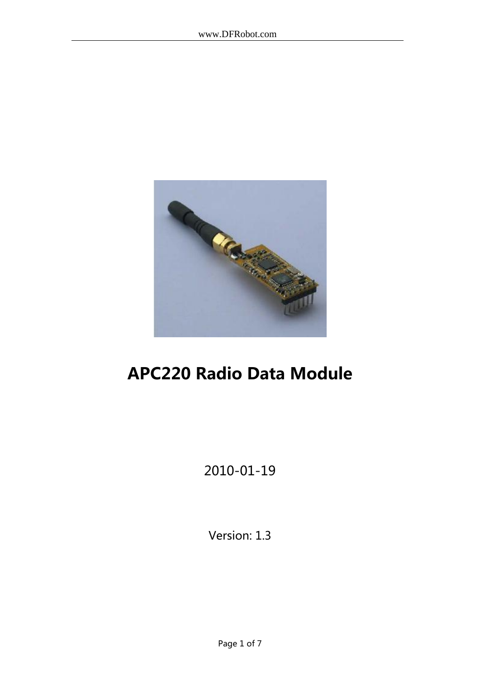

# APC220 Radio Data Module

# 2010-01-19

Version: 1.3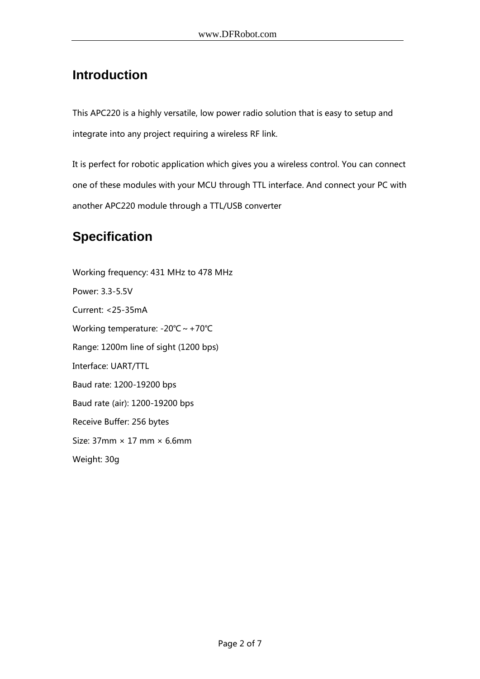## **Introduction**

This APC220 is a highly versatile, low power radio solution that is easy to setup and integrate into any project requiring a wireless RF link.

It is perfect for robotic application which gives you a wireless control. You can connect one of these modules with your MCU through TTL interface. And connect your PC with another APC220 module through a TTL/USB converter

# **Specification**

Working frequency: 431 MHz to 478 MHz Power: 3.3-5.5V Current: <25-35mA Working temperature: -20℃~+70℃ Range: 1200m line of sight (1200 bps) Interface: UART/TTL Baud rate: 1200-19200 bps Baud rate (air): 1200-19200 bps Receive Buffer: 256 bytes Size:  $37$ mm  $\times$  17 mm  $\times$  6.6mm Weight: 30g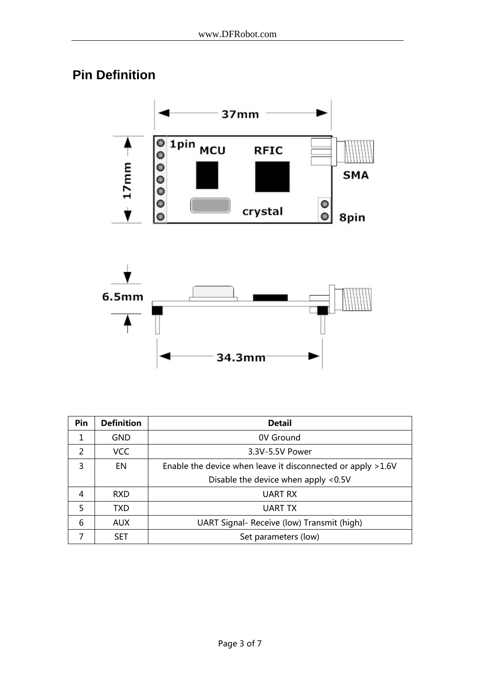# **Pin Definition**





| Pin           | <b>Definition</b> | <b>Detail</b>                                                |
|---------------|-------------------|--------------------------------------------------------------|
| 1             | GND               | 0V Ground                                                    |
| $\mathcal{P}$ | <b>VCC</b>        | 3.3V-5.5V Power                                              |
| 3             | EN.               | Enable the device when leave it disconnected or apply > 1.6V |
|               |                   | Disable the device when apply <0.5V                          |
| 4             | <b>RXD</b>        | UART RX                                                      |
| .5            | <b>TXD</b>        | UART TX                                                      |
| 6             | <b>AUX</b>        | UART Signal- Receive (low) Transmit (high)                   |
|               | <b>SET</b>        | Set parameters (low)                                         |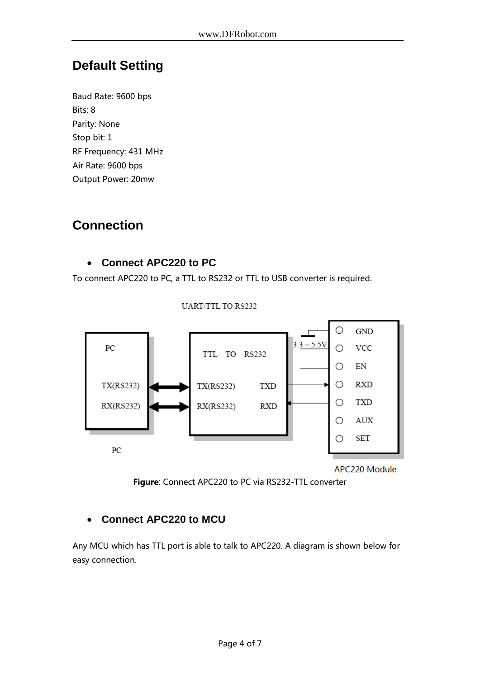### **Default Setting**

Baud Rate: 9600 bps Bits: 8 Parity: None Stop bit: 1 RF Frequency: 431 MHz Air Rate: 9600 bps Output Power: 20mw

### **Connection**

#### **Connect APC220 to PC**

To connect APC220 to PC, a TTL to RS232 or TTL to USB converter is required.

**UART/TTL TO RS232** 

O GND  $3.3 - 5.5V$ PC  $\bigcirc$ **VCC** TTL TO RS232  $\circ$  $\mathop{\rm EN}\nolimits$  $\bigcirc$ **RXD** TX(RS232) TX(RS232) **TXD** O **TXD** RX(RS232) RX(RS232) **RXD** AUX  $\circ$ **SET**  $\bigcirc$ PC

APC220 Module

Figure: Connect APC220 to PC via RS232-TTL converter

#### **Connect APC220 to MCU**

Any MCU which has TTL port is able to talk to APC220. A diagram is shown below for easy connection.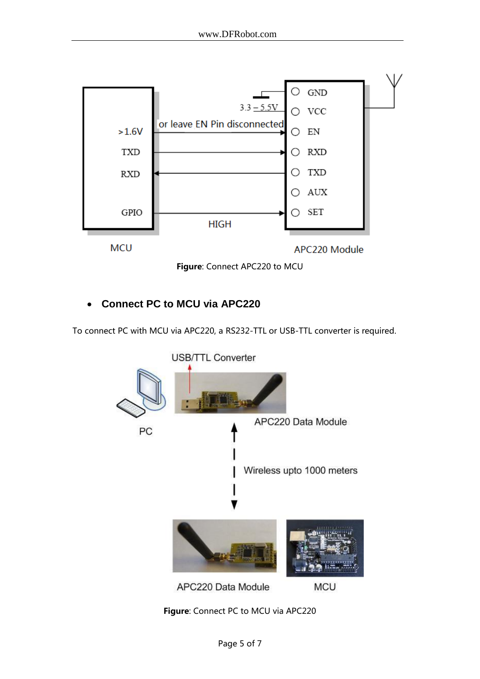



#### **Connect PC to MCU via APC220**

To connect PC with MCU via APC220, a RS232-TTL or USB-TTL converter is required.



Figure: Connect PC to MCU via APC220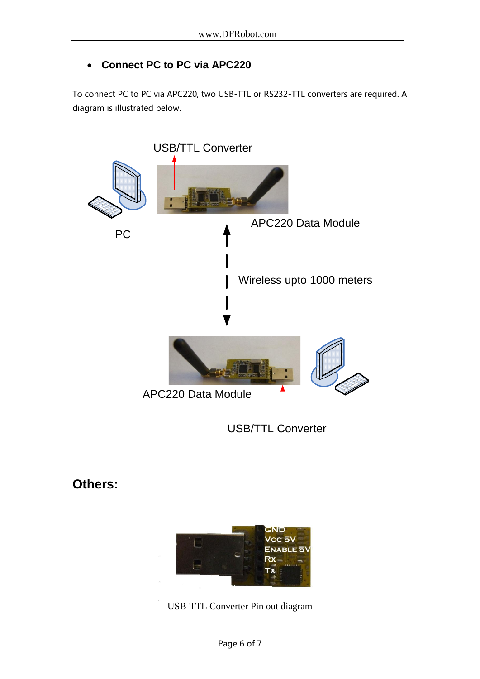#### **Connect PC to PC via APC220**

To connect PC to PC via APC220, two USB-TTL or RS232-TTL converters are required. A diagram is illustrated below.



### **Others:**



USB-TTL Converter Pin out diagram